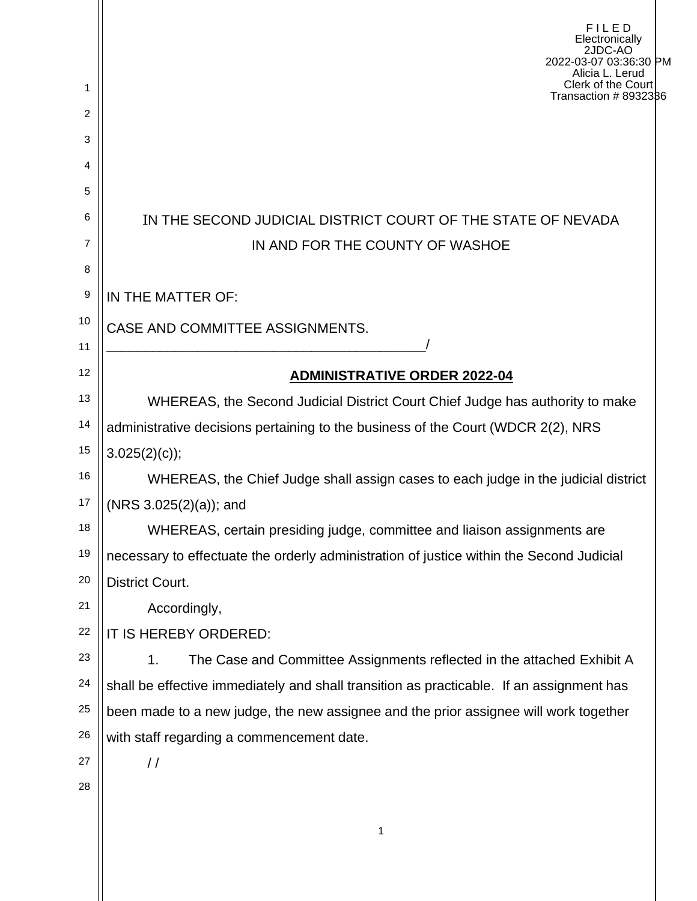|        | FILED<br>Electronically<br>2JDC-AO<br>2022-03-07 03:36:30 PM<br>Alicia L. Lerud                 |  |  |  |
|--------|-------------------------------------------------------------------------------------------------|--|--|--|
| 1      | Clerk of the Court<br>Transaction #8932386                                                      |  |  |  |
| 2      |                                                                                                 |  |  |  |
| 3      |                                                                                                 |  |  |  |
| 4<br>5 |                                                                                                 |  |  |  |
| 6      |                                                                                                 |  |  |  |
| 7      | IN THE SECOND JUDICIAL DISTRICT COURT OF THE STATE OF NEVADA<br>IN AND FOR THE COUNTY OF WASHOE |  |  |  |
| 8      |                                                                                                 |  |  |  |
| 9      | IN THE MATTER OF:                                                                               |  |  |  |
| 10     | CASE AND COMMITTEE ASSIGNMENTS.                                                                 |  |  |  |
| 11     |                                                                                                 |  |  |  |
| 12     | <b>ADMINISTRATIVE ORDER 2022-04</b>                                                             |  |  |  |
| 13     | WHEREAS, the Second Judicial District Court Chief Judge has authority to make                   |  |  |  |
| 14     | administrative decisions pertaining to the business of the Court (WDCR 2(2), NRS                |  |  |  |
| 15     | $3.025(2)(c)$ ;                                                                                 |  |  |  |
| 16     | WHEREAS, the Chief Judge shall assign cases to each judge in the judicial district              |  |  |  |
| 17     | $(NRS 3.025(2)(a))$ ; and                                                                       |  |  |  |
| 18     | WHEREAS, certain presiding judge, committee and liaison assignments are                         |  |  |  |
| 19     | necessary to effectuate the orderly administration of justice within the Second Judicial        |  |  |  |
| 20     | <b>District Court.</b>                                                                          |  |  |  |
| 21     | Accordingly,                                                                                    |  |  |  |
| 22     | IT IS HEREBY ORDERED:                                                                           |  |  |  |
| 23     | The Case and Committee Assignments reflected in the attached Exhibit A<br>1.                    |  |  |  |
| 24     | shall be effective immediately and shall transition as practicable. If an assignment has        |  |  |  |
| 25     | been made to a new judge, the new assignee and the prior assignee will work together            |  |  |  |
| 26     | with staff regarding a commencement date.                                                       |  |  |  |
| 27     | $\frac{1}{2}$                                                                                   |  |  |  |
| 28     |                                                                                                 |  |  |  |
|        | 1                                                                                               |  |  |  |
|        |                                                                                                 |  |  |  |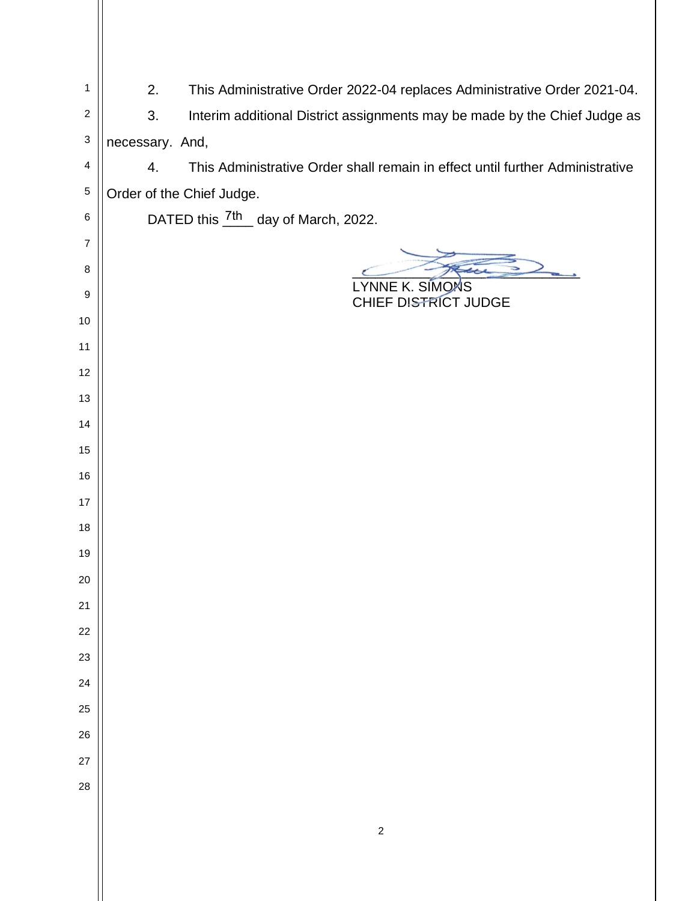| $\mathbf 1$    | 2.<br>This Administrative Order 2022-04 replaces Administrative Order 2021-04.      |
|----------------|-------------------------------------------------------------------------------------|
| $\overline{c}$ | Interim additional District assignments may be made by the Chief Judge as<br>3.     |
| 3              | necessary. And,                                                                     |
| 4              | This Administrative Order shall remain in effect until further Administrative<br>4. |
| $\mathbf 5$    | Order of the Chief Judge.                                                           |
| 6              | DATED this $\frac{7\text{th}}{2}$ day of March, 2022.                               |
| 7              |                                                                                     |
| 8              |                                                                                     |
| 9              | LYNNE K. SIMONS<br>CHIEF DISTRICT JUDGE                                             |
| $10$           |                                                                                     |
| 11             |                                                                                     |
| 12             |                                                                                     |
| 13             |                                                                                     |
| 14             |                                                                                     |
| 15             |                                                                                     |
| 16             |                                                                                     |
| 17             |                                                                                     |
| 18             |                                                                                     |
| 19             |                                                                                     |
| 20             |                                                                                     |
| 21             |                                                                                     |
| 22             |                                                                                     |
| 23             |                                                                                     |
| 24             |                                                                                     |
| 25             |                                                                                     |
| 26             |                                                                                     |
| 27             |                                                                                     |
| 28             |                                                                                     |
|                |                                                                                     |
|                | $\sqrt{2}$                                                                          |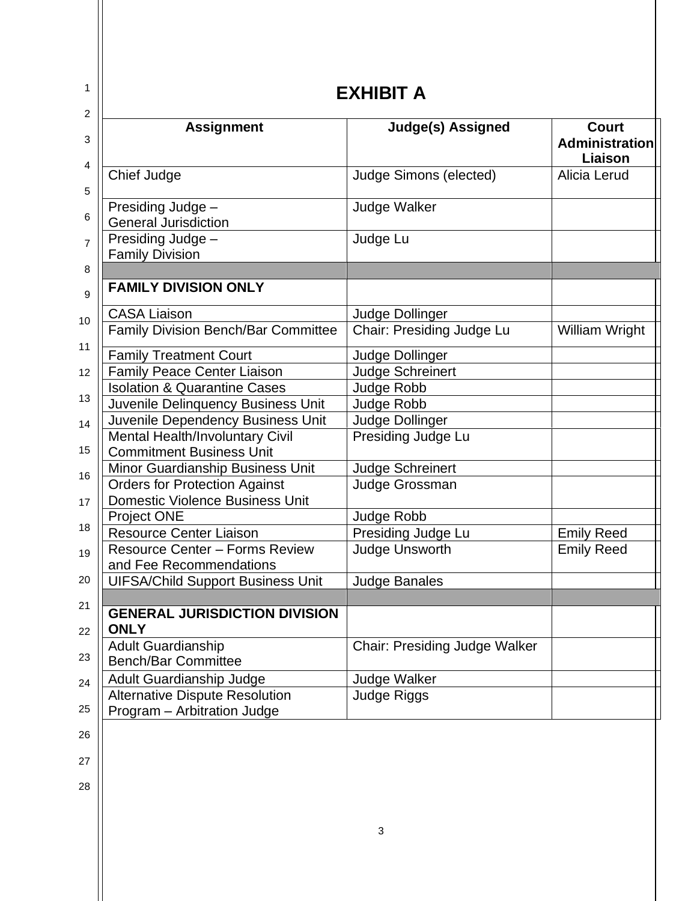| <b>Assignment</b>                                                              | <b>Judge(s) Assigned</b>             | <b>Court</b>                     |
|--------------------------------------------------------------------------------|--------------------------------------|----------------------------------|
|                                                                                |                                      | <b>Administration</b><br>Liaison |
| <b>Chief Judge</b>                                                             | <b>Judge Simons (elected)</b>        | Alicia Lerud                     |
| Presiding Judge -<br><b>General Jurisdiction</b>                               | <b>Judge Walker</b>                  |                                  |
| Presiding Judge -<br><b>Family Division</b>                                    | Judge Lu                             |                                  |
|                                                                                |                                      |                                  |
| <b>FAMILY DIVISION ONLY</b>                                                    |                                      |                                  |
| <b>CASA Liaison</b>                                                            | Judge Dollinger                      |                                  |
| Family Division Bench/Bar Committee                                            | Chair: Presiding Judge Lu            | William Wright                   |
| <b>Family Treatment Court</b>                                                  | Judge Dollinger                      |                                  |
| <b>Family Peace Center Liaison</b>                                             | <b>Judge Schreinert</b>              |                                  |
| <b>Isolation &amp; Quarantine Cases</b>                                        | Judge Robb                           |                                  |
| Juvenile Delinquency Business Unit                                             | Judge Robb                           |                                  |
| Juvenile Dependency Business Unit                                              | Judge Dollinger                      |                                  |
| <b>Mental Health/Involuntary Civil</b>                                         | Presiding Judge Lu                   |                                  |
| <b>Commitment Business Unit</b>                                                |                                      |                                  |
| Minor Guardianship Business Unit                                               | <b>Judge Schreinert</b>              |                                  |
| <b>Orders for Protection Against</b><br><b>Domestic Violence Business Unit</b> | Judge Grossman                       |                                  |
| <b>Project ONE</b>                                                             | Judge Robb                           |                                  |
| <b>Resource Center Liaison</b>                                                 | Presiding Judge Lu                   | <b>Emily Reed</b>                |
| <b>Resource Center - Forms Review</b><br>and Fee Recommendations               | Judge Unsworth                       | <b>Emily Reed</b>                |
| <b>UIFSA/Child Support Business Unit</b>                                       | <b>Judge Banales</b>                 |                                  |
|                                                                                |                                      |                                  |
| <b>GENERAL JURISDICTION DIVISION</b><br><b>ONLY</b>                            |                                      |                                  |
| <b>Adult Guardianship</b><br><b>Bench/Bar Committee</b>                        | <b>Chair: Presiding Judge Walker</b> |                                  |
| Adult Guardianship Judge                                                       | Judge Walker                         |                                  |
| <b>Alternative Dispute Resolution</b>                                          | Judge Riggs                          |                                  |
| Program - Arbitration Judge                                                    |                                      |                                  |
|                                                                                |                                      |                                  |
|                                                                                |                                      |                                  |
|                                                                                |                                      |                                  |
|                                                                                |                                      |                                  |
|                                                                                | 3                                    |                                  |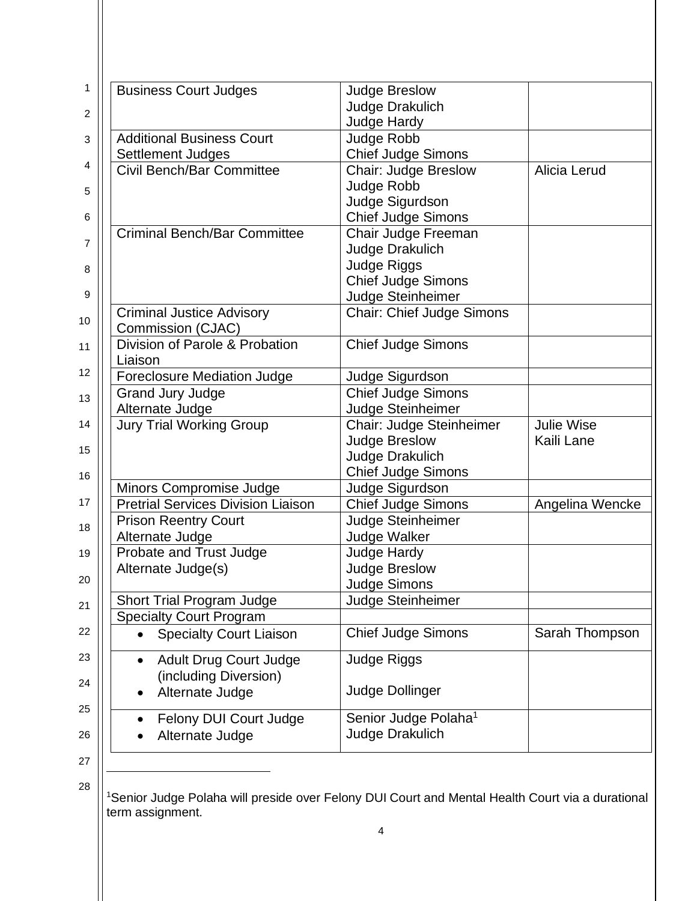| 1              | <b>Business Court Judges</b>                          | <b>Judge Breslow</b>             |                   |
|----------------|-------------------------------------------------------|----------------------------------|-------------------|
| 2              |                                                       | Judge Drakulich                  |                   |
|                |                                                       | Judge Hardy                      |                   |
| 3              | <b>Additional Business Court</b>                      | Judge Robb                       |                   |
|                | Settlement Judges                                     | <b>Chief Judge Simons</b>        |                   |
| 4              | <b>Civil Bench/Bar Committee</b>                      | Chair: Judge Breslow             | Alicia Lerud      |
| 5              |                                                       | Judge Robb                       |                   |
|                |                                                       | Judge Sigurdson                  |                   |
| $\,6$          |                                                       | <b>Chief Judge Simons</b>        |                   |
| $\overline{7}$ | <b>Criminal Bench/Bar Committee</b>                   | Chair Judge Freeman              |                   |
|                |                                                       | Judge Drakulich                  |                   |
| 8              |                                                       | Judge Riggs                      |                   |
|                |                                                       | <b>Chief Judge Simons</b>        |                   |
| 9              |                                                       | Judge Steinheimer                |                   |
| 10             | <b>Criminal Justice Advisory</b><br>Commission (CJAC) | <b>Chair: Chief Judge Simons</b> |                   |
| 11             | Division of Parole & Probation                        | <b>Chief Judge Simons</b>        |                   |
|                | Liaison                                               |                                  |                   |
| 12             | <b>Foreclosure Mediation Judge</b>                    | Judge Sigurdson                  |                   |
| 13             | <b>Grand Jury Judge</b>                               | <b>Chief Judge Simons</b>        |                   |
|                | Alternate Judge                                       | Judge Steinheimer                |                   |
| 14             | <b>Jury Trial Working Group</b>                       | Chair: Judge Steinheimer         | <b>Julie Wise</b> |
| 15             |                                                       | <b>Judge Breslow</b>             | Kaili Lane        |
|                |                                                       | Judge Drakulich                  |                   |
| 16             |                                                       | Chief Judge Simons               |                   |
|                | Minors Compromise Judge                               | Judge Sigurdson                  |                   |
| 17             | <b>Pretrial Services Division Liaison</b>             | <b>Chief Judge Simons</b>        | Angelina Wencke   |
| 18             | <b>Prison Reentry Court</b>                           | Judge Steinheimer                |                   |
|                | Alternate Judge                                       | Judge Walker                     |                   |
| 19             | Probate and Trust Judge                               | Judge Hardy                      |                   |
| 20             | Alternate Judge(s)                                    | <b>Judge Breslow</b>             |                   |
|                |                                                       | <b>Judge Simons</b>              |                   |
| 21             | Short Trial Program Judge                             | Judge Steinheimer                |                   |
| 22             | <b>Specialty Court Program</b>                        |                                  |                   |
|                | <b>Specialty Court Liaison</b>                        | <b>Chief Judge Simons</b>        | Sarah Thompson    |
| 23             | <b>Adult Drug Court Judge</b><br>$\bullet$            | Judge Riggs                      |                   |
|                | (including Diversion)                                 |                                  |                   |
| 24             | Alternate Judge                                       | <b>Judge Dollinger</b>           |                   |
| 25             |                                                       |                                  |                   |
|                | <b>Felony DUI Court Judge</b>                         | Senior Judge Polaha <sup>1</sup> |                   |
| 26             | Alternate Judge                                       | <b>Judge Drakulich</b>           |                   |
| 27             |                                                       |                                  |                   |

28

<sup>1</sup>Senior Judge Polaha will preside over Felony DUI Court and Mental Health Court via a durational term assignment.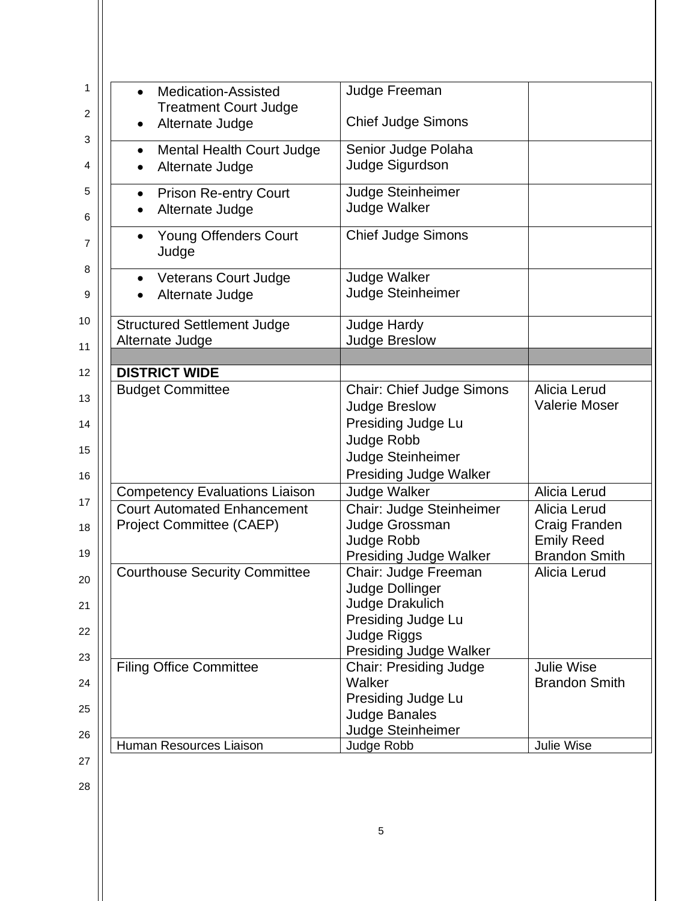| <b>Medication-Assisted</b>                                            | Judge Freeman                                                                                                                                      |                                                                            |
|-----------------------------------------------------------------------|----------------------------------------------------------------------------------------------------------------------------------------------------|----------------------------------------------------------------------------|
| <b>Treatment Court Judge</b><br>Alternate Judge                       | <b>Chief Judge Simons</b>                                                                                                                          |                                                                            |
| Mental Health Court Judge<br>$\bullet$<br>Alternate Judge             | Senior Judge Polaha<br>Judge Sigurdson                                                                                                             |                                                                            |
| <b>Prison Re-entry Court</b><br>Alternate Judge                       | Judge Steinheimer<br><b>Judge Walker</b>                                                                                                           |                                                                            |
| <b>Young Offenders Court</b><br>$\bullet$<br>Judge                    | <b>Chief Judge Simons</b>                                                                                                                          |                                                                            |
| <b>Veterans Court Judge</b><br>Alternate Judge                        | <b>Judge Walker</b><br>Judge Steinheimer                                                                                                           |                                                                            |
| <b>Structured Settlement Judge</b><br>Alternate Judge                 | Judge Hardy<br><b>Judge Breslow</b>                                                                                                                |                                                                            |
|                                                                       |                                                                                                                                                    |                                                                            |
| <b>DISTRICT WIDE</b>                                                  |                                                                                                                                                    |                                                                            |
| <b>Budget Committee</b>                                               | <b>Chair: Chief Judge Simons</b><br><b>Judge Breslow</b><br>Presiding Judge Lu<br>Judge Robb<br>Judge Steinheimer<br><b>Presiding Judge Walker</b> | Alicia Lerud<br><b>Valerie Moser</b>                                       |
| <b>Competency Evaluations Liaison</b>                                 | <b>Judge Walker</b>                                                                                                                                | Alicia Lerud                                                               |
| <b>Court Automated Enhancement</b><br><b>Project Committee (CAEP)</b> | Chair: Judge Steinheimer<br>Judge Grossman<br>Judge Robb<br><b>Presiding Judge Walker</b>                                                          | Alicia Lerud<br>Craig Franden<br><b>Emily Reed</b><br><b>Brandon Smith</b> |
| <b>Courthouse Security Committee</b>                                  | Chair: Judge Freeman<br>Judge Dollinger<br>Judge Drakulich<br>Presiding Judge Lu<br>Judge Riggs<br><b>Presiding Judge Walker</b>                   | Alicia Lerud                                                               |
| <b>Filing Office Committee</b>                                        | <b>Chair: Presiding Judge</b><br>Walker<br>Presiding Judge Lu<br><b>Judge Banales</b>                                                              | <b>Julie Wise</b><br><b>Brandon Smith</b>                                  |
| Human Resources Liaison                                               | Judge Steinheimer<br>Judge Robb                                                                                                                    | Julie Wise                                                                 |
|                                                                       |                                                                                                                                                    |                                                                            |